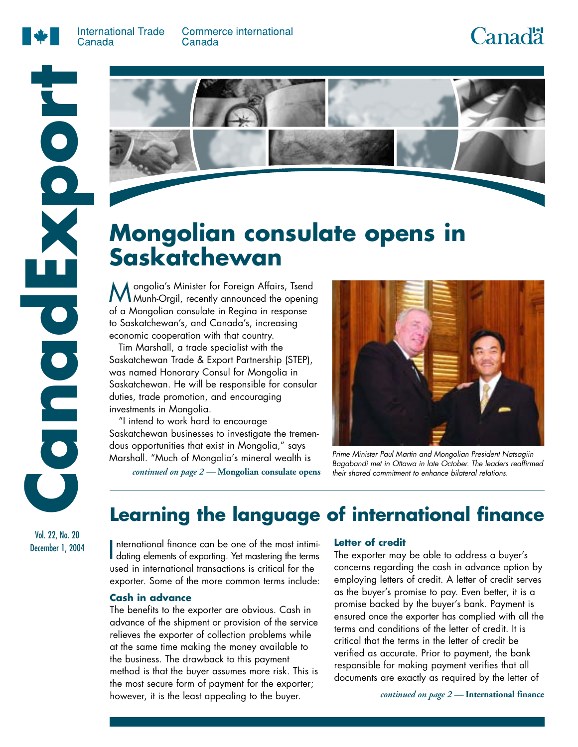

**Commerce international** Canada

# **Canadä**





# **Mongolian consulate opens in Saskatchewan**

Mongolia's Minister for Foreign Affairs, Tsend Munh-Orgil, recently announced the opening of a Mongolian consulate in Regina in response to Saskatchewan's, and Canada's, increasing economic cooperation with that country.

Tim Marshall, a trade specialist with the Saskatchewan Trade & Export Partnership (STEP), was named Honorary Consul for Mongolia in Saskatchewan. He will be responsible for consular duties, trade promotion, and encouraging investments in Mongolia.

"I intend to work hard to encourage Saskatchewan businesses to investigate the tremendous opportunities that exist in Mongolia," says Marshall. "Much of Mongolia's mineral wealth is

*continued on page 2 —* **Mongolian consulate opens**



Prime Minister Paul Martin and Mongolian President Natsagiin Bagabandi met in Ottawa in late October. The leaders reaffirmed their shared commitment to enhance bilateral relations.

## **Learning the language of international finance**

International finance can be one of the most intimidating elements of exporting. Yet mastering the terms nternational finance can be one of the most intimiused in international transactions is critical for the exporter. Some of the more common terms include:

### **Cash in advance**

The benefits to the exporter are obvious. Cash in advance of the shipment or provision of the service relieves the exporter of collection problems while at the same time making the money available to the business. The drawback to this payment method is that the buyer assumes more risk. This is the most secure form of payment for the exporter; however, it is the least appealing to the buyer.

#### **Letter of credit**

The exporter may be able to address a buyer's concerns regarding the cash in advance option by employing letters of credit. A letter of credit serves as the buyer's promise to pay. Even better, it is a promise backed by the buyer's bank. Payment is ensured once the exporter has complied with all the terms and conditions of the letter of credit. It is critical that the terms in the letter of credit be verified as accurate. Prior to payment, the bank responsible for making payment verifies that all documents are exactly as required by the letter of

*continued on page 2 —* **International finance**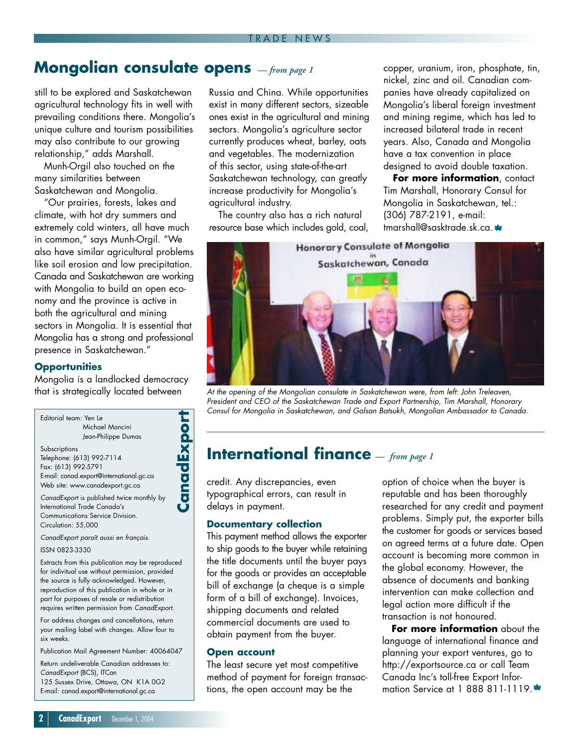### **Mongolian consulate opens** *— from page 1*

still to be explored and Saskatchewan agricultural technology fits in well with prevailing conditions there. Mongolia's unique culture and tourism possibilities may also contribute to our growing relationship," adds Marshall.

Munh-Orgil also touched on the many similarities between Saskatchewan and Mongolia.

"Our prairies, forests, lakes and climate, with hot dry summers and extremely cold winters, all have much in common," says Munh-Orgil. "We also have similar agricultural problems like soil erosion and low precipitation. Canada and Saskatchewan are working with Mongolia to build an open economy and the province is active in both the agricultural and mining sectors in Mongolia. It is essential that Mongolia has a strong and professional presence in Saskatchewan."

### **Opportunities**

Mongolia is a landlocked democracy that is strategically located between

Editorial team: Yen Le Michael Mancini Jean-Philippe Dumas **Subscriptions** Telephone: (613) 992-7114 Fax: (613) 992-5791 E-mail: canad.export@international.gc.ca Web site: www.canadexport.gc.ca

**CanadExpor**

**t**

CanadExport is published twice monthly by International Trade Canada's Communications Service Division. Circulation: 55,000

CanadExport paraît aussi en français.

ISSN 0823-3330

Extracts from this publication may be reproduced for indivitual use without permission, provided the source is fully acknowledged. However, reproduction of this publication in whole or in part for purposes of resale or redistribution requires written permission from CanadExport.

For address changes and cancellations, return your mailing label with changes. Allow four to six weeks.

Publication Mail Agreement Number: 40064047

Return undeliverable Canadian addresses to: CanadExport (BCS), ITCan 125 Sussex Drive, Ottawa, ON K1A 0G2 E-mail: canad.export@international.gc.ca

Russia and China. While opportunities exist in many different sectors, sizeable ones exist in the agricultural and mining sectors. Mongolia's agriculture sector currently produces wheat, barley, oats and vegetables. The modernization of this sector, using state-of-the-art Saskatchewan technology, can greatly increase productivity for Mongolia's agricultural industry.

The country also has a rich natural resource base which includes gold, coal, copper, uranium, iron, phosphate, tin, nickel, zinc and oil. Canadian companies have already capitalized on Mongolia's liberal foreign investment and mining regime, which has led to increased bilateral trade in recent years. Also, Canada and Mongolia have a tax convention in place designed to avoid double taxation.

**For more information**, contact Tim Marshall, Honorary Consul for Mongolia in Saskatchewan, tel.: (306) 787-2191, e-mail: tmarshall@sasktrade.sk.ca. \*



At the opening of the Mongolian consulate in Saskatchewan were, from left: John Treleaven, President and CEO of the Saskatchewan Trade and Export Partnership, Tim Marshall, Honorary Consul for Mongolia in Saskatchewan, and Galsan Batsukh, Mongolian Ambassador to Canada.

### **International finance** *— from page 1*

credit. Any discrepancies, even typographical errors, can result in delays in payment.

#### **Documentary collection**

This payment method allows the exporter to ship goods to the buyer while retaining the title documents until the buyer pays for the goods or provides an acceptable bill of exchange (a cheque is a simple form of a bill of exchange). Invoices, shipping documents and related commercial documents are used to obtain payment from the buyer.

### **Open account**

The least secure yet most competitive method of payment for foreign transactions, the open account may be the

option of choice when the buyer is reputable and has been thoroughly researched for any credit and payment problems. Simply put, the exporter bills the customer for goods or services based on agreed terms at a future date. Open account is becoming more common in the global economy. However, the absence of documents and banking intervention can make collection and legal action more difficult if the transaction is not honoured.

**For more information** about the language of international finance and planning your export ventures, go to http://exportsource.ca or call Team Canada Inc's toll-free Export Information Service at 1 888 811-1119. \*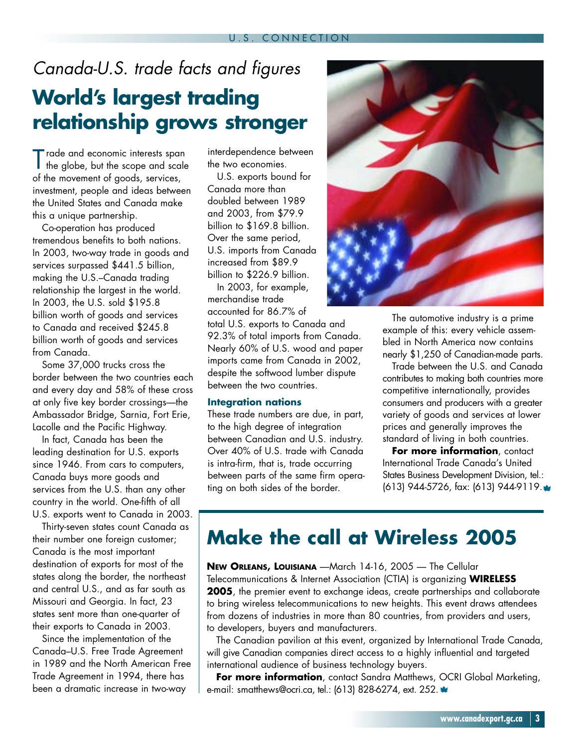## Canada-U.S. trade facts and figures **World's largest trading relationship grows stronger**

Trade and economic interests span the globe, but the scope and scale of the movement of goods, services, investment, people and ideas between the United States and Canada make this a unique partnership.

Co-operation has produced tremendous benefits to both nations. In 2003, two-way trade in goods and services surpassed \$441.5 billion, making the U.S.–Canada trading relationship the largest in the world. In 2003, the U.S. sold \$195.8 billion worth of goods and services to Canada and received \$245.8 billion worth of goods and services from Canada.

Some 37,000 trucks cross the border between the two countries each and every day and 58% of these cross at only five key border crossings—the Ambassador Bridge, Sarnia, Fort Erie, Lacolle and the Pacific Highway.

In fact, Canada has been the leading destination for U.S. exports since 1946. From cars to computers, Canada buys more goods and services from the U.S. than any other country in the world. One-fifth of all U.S. exports went to Canada in 2003.

Thirty-seven states count Canada as their number one foreign customer; Canada is the most important destination of exports for most of the states along the border, the northeast and central U.S., and as far south as Missouri and Georgia. In fact, 23 states sent more than one-quarter of their exports to Canada in 2003.

Since the implementation of the Canada–U.S. Free Trade Agreement in 1989 and the North American Free Trade Agreement in 1994, there has been a dramatic increase in two-way

interdependence between the two economies.

U.S. exports bound for Canada more than doubled between 1989 and 2003, from \$79.9 billion to \$169.8 billion. Over the same period, U.S. imports from Canada increased from \$89.9 billion to \$226.9 billion.

In 2003, for example, merchandise trade accounted for 86.7% of

total U.S. exports to Canada and 92.3% of total imports from Canada. Nearly 60% of U.S. wood and paper imports came from Canada in 2002, despite the softwood lumber dispute between the two countries.

### **Integration nations**

These trade numbers are due, in part, to the high degree of integration between Canadian and U.S. industry. Over 40% of U.S. trade with Canada is intra-firm, that is, trade occurring between parts of the same firm operating on both sides of the border.



The automotive industry is a prime example of this: every vehicle assembled in North America now contains nearly \$1,250 of Canadian-made parts.

Trade between the U.S. and Canada contributes to making both countries more competitive internationally, provides consumers and producers with a greater variety of goods and services at lower prices and generally improves the standard of living in both countries.

**For more information**, contact International Trade Canada's United States Business Development Division, tel.: (613) 944-5726, fax: (613) 944-9119.

## **Make the call at Wireless 2005**

**NEW ORLEANS, LOUISIANA** —March 14-16, 2005 — The Cellular Telecommunications & Internet Association (CTIA) is organizing **WIRELESS 2005**, the premier event to exchange ideas, create partnerships and collaborate to bring wireless telecommunications to new heights. This event draws attendees from dozens of industries in more than 80 countries, from providers and users, to developers, buyers and manufacturers.

The Canadian pavilion at this event, organized by International Trade Canada, will give Canadian companies direct access to a highly influential and targeted international audience of business technology buyers.

**For more information**, contact Sandra Matthews, OCRI Global Marketing, e-mail: smatthews@ocri.ca, tel.: (613) 828-6274, ext. 252.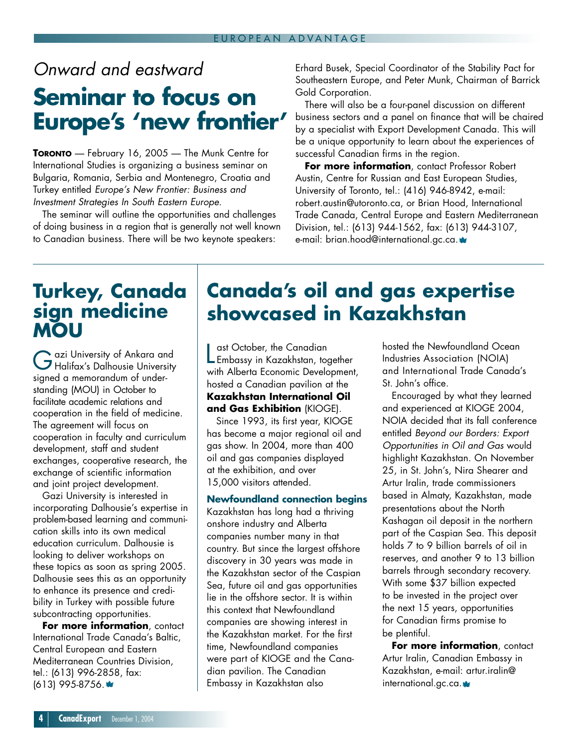## Onward and eastward

## **Seminar to focus on Europe's 'new frontier'**

**TORONTO** — February 16, 2005 — The Munk Centre for International Studies is organizing a business seminar on Bulgaria, Romania, Serbia and Montenegro, Croatia and Turkey entitled Europe's New Frontier: Business and Investment Strategies In South Eastern Europe.

The seminar will outline the opportunities and challenges of doing business in a region that is generally not well known to Canadian business. There will be two keynote speakers:

Erhard Busek, Special Coordinator of the Stability Pact for Southeastern Europe, and Peter Munk, Chairman of Barrick Gold Corporation.

There will also be a four-panel discussion on different business sectors and a panel on finance that will be chaired by a specialist with Export Development Canada. This will be a unique opportunity to learn about the experiences of successful Canadian firms in the region.

**For more information**, contact Professor Robert Austin, Centre for Russian and East European Studies, University of Toronto, tel.: (416) 946-8942, e-mail: robert.austin@utoronto.ca, or Brian Hood, International Trade Canada, Central Europe and Eastern Mediterranean Division, tel.: (613) 944-1562, fax: (613) 944-3107, e-mail: brian.hood@international.gc.ca.

### **Turkey, Canada sign medicine MOU**

Gazi University of Ankara and Halifax's Dalhousie University signed a memorandum of understanding (MOU) in October to facilitate academic relations and cooperation in the field of medicine. The agreement will focus on cooperation in faculty and curriculum development, staff and student exchanges, cooperative research, the exchange of scientific information and joint project development.

Gazi University is interested in incorporating Dalhousie's expertise in problem-based learning and communication skills into its own medical education curriculum. Dalhousie is looking to deliver workshops on these topics as soon as spring 2005. Dalhousie sees this as an opportunity to enhance its presence and credibility in Turkey with possible future subcontracting opportunities.

**For more information**, contact International Trade Canada's Baltic, Central European and Eastern Mediterranean Countries Division, tel.: (613) 996-2858, fax: (613) 995-8756.

## **Canada's oil and gas expertise showcased in Kazakhstan**

**Last October, the Canadian<br>Embassy in Kazakhstan, together** ast October, the Canadian with Alberta Economic Development, hosted a Canadian pavilion at the **Kazakhstan International Oil and Gas Exhibition** (KIOGE).

Since 1993, its first year, KIOGE has become a major regional oil and gas show. In 2004, more than 400 oil and gas companies displayed at the exhibition, and over 15,000 visitors attended.

### **Newfoundland connection begins**

Kazakhstan has long had a thriving onshore industry and Alberta companies number many in that country. But since the largest offshore discovery in 30 years was made in the Kazakhstan sector of the Caspian Sea, future oil and gas opportunities lie in the offshore sector. It is within this context that Newfoundland companies are showing interest in the Kazakhstan market. For the first time, Newfoundland companies were part of KIOGE and the Canadian pavilion. The Canadian Embassy in Kazakhstan also

hosted the Newfoundland Ocean Industries Association (NOIA) and International Trade Canada's St. John's office.

Encouraged by what they learned and experienced at KIOGE 2004, NOIA decided that its fall conference entitled Beyond our Borders: Export Opportunities in Oil and Gas would highlight Kazakhstan. On November 25, in St. John's, Nira Shearer and Artur Iralin, trade commissioners based in Almaty, Kazakhstan, made presentations about the North Kashagan oil deposit in the northern part of the Caspian Sea. This deposit holds 7 to 9 billion barrels of oil in reserves, and another 9 to 13 billion barrels through secondary recovery. With some \$37 billion expected to be invested in the project over the next 15 years, opportunities for Canadian firms promise to be plentiful.

**For more information**, contact Artur Iralin, Canadian Embassy in Kazakhstan, e-mail: artur.iralin@ international.gc.ca.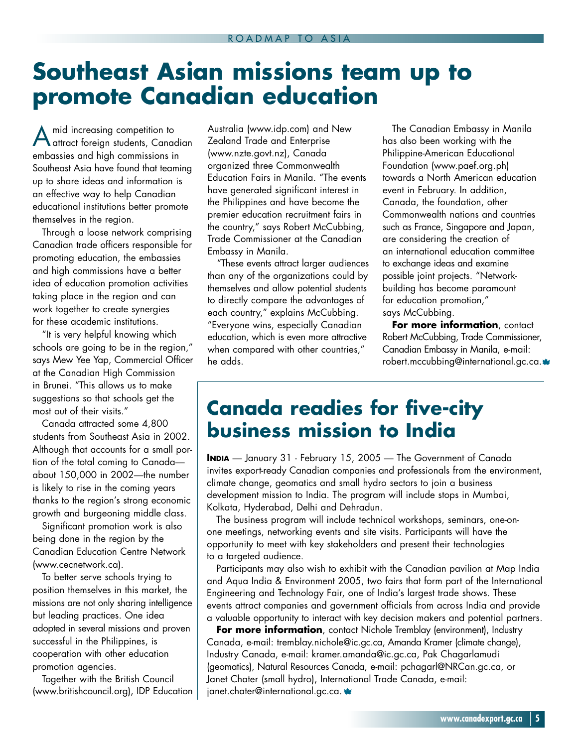# **Southeast Asian missions team up to promote Canadian education**

A mid increasing competition to attract foreign students, Canadian embassies and high commissions in Southeast Asia have found that teaming up to share ideas and information is an effective way to help Canadian educational institutions better promote themselves in the region.

Through a loose network comprising Canadian trade officers responsible for promoting education, the embassies and high commissions have a better idea of education promotion activities taking place in the region and can work together to create synergies for these academic institutions.

"It is very helpful knowing which schools are going to be in the region," says Mew Yee Yap, Commercial Officer at the Canadian High Commission in Brunei. "This allows us to make suggestions so that schools get the most out of their visits."

Canada attracted some 4,800 students from Southeast Asia in 2002. Although that accounts for a small portion of the total coming to Canada about 150,000 in 2002—the number is likely to rise in the coming years thanks to the region's strong economic growth and burgeoning middle class.

Significant promotion work is also being done in the region by the Canadian Education Centre Network (www.cecnetwork.ca).

To better serve schools trying to position themselves in this market, the missions are not only sharing intelligence but leading practices. One idea adopted in several missions and proven successful in the Philippines, is cooperation with other education promotion agencies.

Together with the British Council (www.britishcouncil.org), IDP Education Australia (www.idp.com) and New Zealand Trade and Enterprise (www.nzte.govt.nz), Canada organized three Commonwealth Education Fairs in Manila. "The events have generated significant interest in the Philippines and have become the premier education recruitment fairs in the country," says Robert McCubbing, Trade Commissioner at the Canadian Embassy in Manila.

"These events attract larger audiences than any of the organizations could by themselves and allow potential students to directly compare the advantages of each country," explains McCubbing. "Everyone wins, especially Canadian education, which is even more attractive when compared with other countries," he adds.

The Canadian Embassy in Manila has also been working with the Philippine-American Educational Foundation (www.paef.org.ph) towards a North American education event in February. In addition, Canada, the foundation, other Commonwealth nations and countries such as France, Singapore and Japan, are considering the creation of an international education committee to exchange ideas and examine possible joint projects. "Networkbuilding has become paramount for education promotion," says McCubbing.

**For more information**, contact Robert McCubbing, Trade Commissioner, Canadian Embassy in Manila, e-mail: robert.mccubbing@international.gc.ca. \*

### **Canada readies for five-city business mission to India**

**INDIA** — January 31 - February 15, 2005 — The Government of Canada invites export-ready Canadian companies and professionals from the environment, climate change, geomatics and small hydro sectors to join a business development mission to India. The program will include stops in Mumbai, Kolkata, Hyderabad, Delhi and Dehradun.

The business program will include technical workshops, seminars, one-onone meetings, networking events and site visits. Participants will have the opportunity to meet with key stakeholders and present their technologies to a targeted audience.

Participants may also wish to exhibit with the Canadian pavilion at Map India and Aqua India & Environment 2005, two fairs that form part of the International Engineering and Technology Fair, one of India's largest trade shows. These events attract companies and government officials from across India and provide a valuable opportunity to interact with key decision makers and potential partners.

**For more information**, contact Nichole Tremblay (environment), Industry Canada, e-mail: tremblay.nichole@ic.gc.ca, Amanda Kramer (climate change), Industry Canada, e-mail: kramer.amanda@ic.gc.ca, Pak Chagarlamudi (geomatics), Natural Resources Canada, e-mail: pchagarl@NRCan.gc.ca, or Janet Chater (small hydro), International Trade Canada, e-mail: janet.chater@international.gc.ca. \*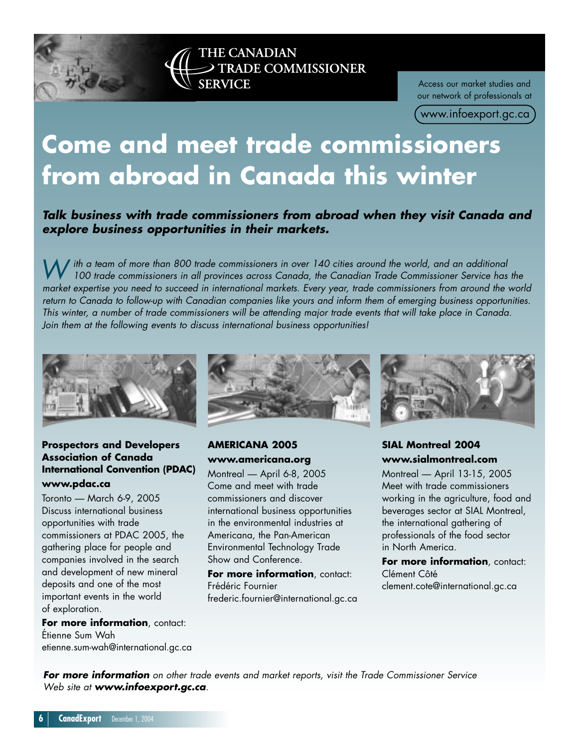

Access our market studies and our network of professionals at

( www.infoexport.gc.ca )

# **Come and meet trade commissioners from abroad in Canada this winter**

**Talk business with trade commissioners from abroad when they visit Canada and explore business opportunities in their markets.**

W ith a team of more than 800 trade commissioners in over 140 cities around the world, and an additional<br>100 trade commissioners in all provinces across Canada, the Canadian Trade Commissioner Service has the market expertise you need to succeed in international markets. Every year, trade commissioners from around the world return to Canada to follow-up with Canadian companies like yours and inform them of emerging business opportunities. This winter, a number of trade commissioners will be attending major trade events that will take place in Canada. Join them at the following events to discuss international business opportunities!



### **Prospectors and Developers Association of Canada International Convention (PDAC) www.pdac.ca**

Toronto — March 6-9, 2005 Discuss international business opportunities with trade commissioners at PDAC 2005, the gathering place for people and companies involved in the search and development of new mineral deposits and one of the most important events in the world of exploration.

**For more information**, contact: Étienne Sum Wah etienne.sum-wah@international.gc.ca



### **AMERICANA 2005 www.americana.org**

Montreal — April 6-8, 2005 Come and meet with trade commissioners and discover international business opportunities in the environmental industries at Americana, the Pan-American Environmental Technology Trade Show and Conference.

**For more information**, contact: Frédéric Fournier frederic.fournier@international.gc.ca



### **SIAL Montreal 2004 www.sialmontreal.com**

Montreal — April 13-15, 2005 Meet with trade commissioners working in the agriculture, food and beverages sector at SIAL Montreal, the international gathering of professionals of the food sector in North America.

**For more information**, contact: Clément Côté clement.cote@international.gc.ca

**For more information** on other trade events and market reports, visit the Trade Commissioner Service Web site at **www.infoexport.gc.ca**.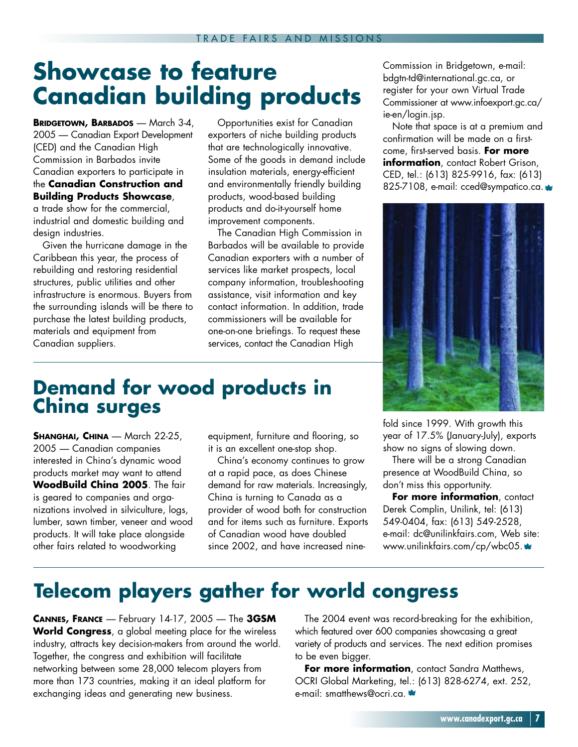# **Showcase to feature Canadian building products**

**BRIDGETOWN, BARBADOS** — March 3-4, 2005 — Canadian Export Development (CED) and the Canadian High Commission in Barbados invite Canadian exporters to participate in the **Canadian Construction and Building Products Showcase**, a trade show for the commercial,

industrial and domestic building and design industries.

Given the hurricane damage in the Caribbean this year, the process of rebuilding and restoring residential structures, public utilities and other infrastructure is enormous. Buyers from the surrounding islands will be there to purchase the latest building products, materials and equipment from Canadian suppliers.

Opportunities exist for Canadian exporters of niche building products that are technologically innovative. Some of the goods in demand include insulation materials, energy-efficient and environmentally friendly building products, wood-based building products and do-it-yourself home improvement components.

The Canadian High Commission in Barbados will be available to provide Canadian exporters with a number of services like market prospects, local company information, troubleshooting assistance, visit information and key contact information. In addition, trade commissioners will be available for one-on-one briefings. To request these services, contact the Canadian High

### **Demand for wood products in China surges**

**SHANGHAI, CHINA** — March 22-25, 2005 — Canadian companies interested in China's dynamic wood products market may want to attend **WoodBuild China 2005**. The fair is geared to companies and organizations involved in silviculture, logs, lumber, sawn timber, veneer and wood products. It will take place alongside other fairs related to woodworking

equipment, furniture and flooring, so it is an excellent one-stop shop.

China's economy continues to grow at a rapid pace, as does Chinese demand for raw materials. Increasingly, China is turning to Canada as a provider of wood both for construction and for items such as furniture. Exports of Canadian wood have doubled since 2002, and have increased nineCommission in Bridgetown, e-mail: bdgtn-td@international.gc.ca, or register for your own Virtual Trade Commissioner at www.infoexport.gc.ca/ ie-en/login.jsp.

Note that space is at a premium and confirmation will be made on a firstcome, first-served basis. **For more information**, contact Robert Grison, CED, tel.: (613) 825-9916, fax: (613) 825-7108, e-mail: cced@sympatico.ca.



fold since 1999. With growth this year of 17.5% (January-July), exports show no signs of slowing down.

There will be a strong Canadian presence at WoodBuild China, so don't miss this opportunity.

**For more information**, contact Derek Complin, Unilink, tel: (613) 549-0404, fax: (613) 549-2528, e-mail: dc@unilinkfairs.com, Web site: www.unilinkfairs.com/cp/wbc05.

## **Telecom players gather for world congress**

**CANNES, FRANCE** — February 14-17, 2005 — The **3GSM World Congress**, a global meeting place for the wireless industry, attracts key decision-makers from around the world. Together, the congress and exhibition will facilitate networking between some 28,000 telecom players from more than 173 countries, making it an ideal platform for exchanging ideas and generating new business.

The 2004 event was record-breaking for the exhibition, which featured over 600 companies showcasing a great variety of products and services. The next edition promises to be even bigger.

For more information, contact Sandra Matthews, OCRI Global Marketing, tel.: (613) 828-6274, ext. 252, e-mail: smatthews@ocri.ca.